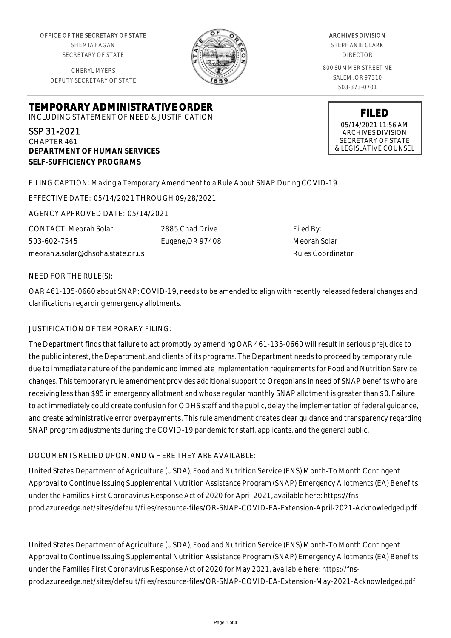OFFICE OF THE SECRETARY OF STATE SHEMIA FAGAN SECRETARY OF STATE

CHERYL MYERS DEPUTY SECRETARY OF STATE



ARCHIVES DIVISION STEPHANIE CLARK DIRECTOR 800 SUMMER STREET NE SALEM, OR 97310 503-373-0701

> **FILED** 05/14/2021 11:56 AM ARCHIVES DIVISION SECRETARY OF STATE & LEGISLATIVE COUNSEL

**TEMPORARY ADMINISTRATIVE ORDER** INCLUDING STATEMENT OF NEED & JUSTIFICATION

SSP 31-2021 CHAPTER 461 **DEPARTMENT OF HUMAN SERVICES SELF-SUFFICIENCY PROGRAMS**

## FILING CAPTION: Making a Temporary Amendment to a Rule About SNAP During COVID-19

EFFECTIVE DATE: 05/14/2021 THROUGH 09/28/2021

AGENCY APPROVED DATE: 05/14/2021

CONTACT: Meorah Solar 503-602-7545 meorah.a.solar@dhsoha.state.or.us 2885 Chad Drive Eugene,OR 97408

Filed By: Meorah Solar Rules Coordinator

#### NEED FOR THE RULE(S):

OAR 461-135-0660 about SNAP; COVID-19, needs to be amended to align with recently released federal changes and clarifications regarding emergency allotments.

### JUSTIFICATION OF TEMPORARY FILING:

The Department finds that failure to act promptly by amending OAR 461-135-0660 will result in serious prejudice to the public interest, the Department, and clients of its programs. The Department needs to proceed by temporary rule due to immediate nature of the pandemic and immediate implementation requirements for Food and Nutrition Service changes. This temporary rule amendment provides additional support to Oregonians in need of SNAP benefits who are receiving less than \$95 in emergency allotment and whose regular monthly SNAP allotment is greater than \$0. Failure to act immediately could create confusion for ODHS staff and the public, delay the implementation of federal guidance, and create administrative error overpayments. This rule amendment creates clear guidance and transparency regarding SNAP program adjustments during the COVID-19 pandemic for staff, applicants, and the general public.

### DOCUMENTS RELIED UPON, AND WHERE THEY ARE AVAILABLE:

United States Department of Agriculture (USDA), Food and Nutrition Service (FNS) Month-To Month Contingent Approval to Continue Issuing Supplemental Nutrition Assistance Program (SNAP) Emergency Allotments (EA) Benefits under the Families First Coronavirus Response Act of 2020 for April 2021, available here: https://fnsprod.azureedge.net/sites/default/files/resource-files/OR-SNAP-COVID-EA-Extension-April-2021-Acknowledged.pdf

United States Department of Agriculture (USDA), Food and Nutrition Service (FNS) Month-To Month Contingent Approval to Continue Issuing Supplemental Nutrition Assistance Program (SNAP) Emergency Allotments (EA) Benefits under the Families First Coronavirus Response Act of 2020 for May 2021, available here: https://fnsprod.azureedge.net/sites/default/files/resource-files/OR-SNAP-COVID-EA-Extension-May-2021-Acknowledged.pdf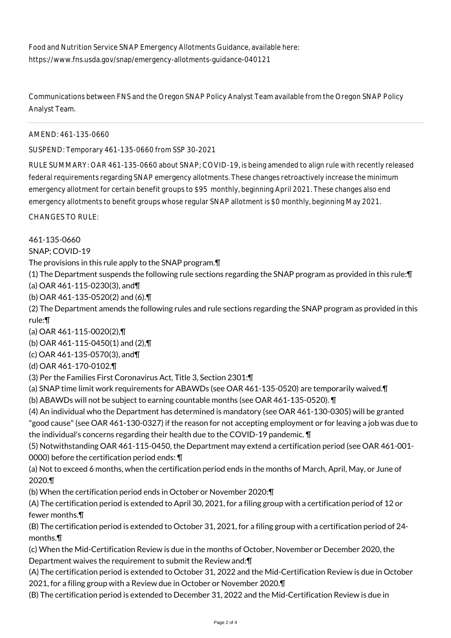Food and Nutrition Service SNAP Emergency Allotments Guidance, available here: https://www.fns.usda.gov/snap/emergency-allotments-guidance-040121

Communications between FNS and the Oregon SNAP Policy Analyst Team available from the Oregon SNAP Policy Analyst Team.

AMEND: 461-135-0660

SUSPEND: Temporary 461-135-0660 from SSP 30-2021

RULE SUMMARY: OAR 461-135-0660 about SNAP; COVID-19, is being amended to align rule with recently released federal requirements regarding SNAP emergency allotments. These changes retroactively increase the minimum emergency allotment for certain benefit groups to \$95 monthly, beginning April 2021. These changes also end emergency allotments to benefit groups whose regular SNAP allotment is \$0 monthly, beginning May 2021.

CHANGES TO RULE:

461-135-0660

SNAP; COVID-19

The provisions in this rule apply to the SNAP program.¶

(1) The Department suspends the following rule sections regarding the SNAP program as provided in this rule:¶ (a) OAR 461-115-0230(3), and¶

(b) OAR 461-135-0520(2) and (6).¶

(2) The Department amends the following rules and rule sections regarding the SNAP program as provided in this rule:¶

(a) OAR 461-115-0020(2),¶

(b) OAR 461-115-0450(1) and (2),¶

(c) OAR 461-135-0570(3), and¶

(d) OAR 461-170-0102.¶

(3) Per the Families First Coronavirus Act, Title 3, Section 2301:¶

(a) SNAP time limit work requirements for ABAWDs (see OAR 461-135-0520) are temporarily waived.¶

(b) ABAWDs will not be subject to earning countable months (see OAR 461-135-0520). ¶

(4) An individual who the Department has determined is mandatory (see OAR 461-130-0305) will be granted "good cause" (see OAR 461-130-0327) if the reason for not accepting employment or for leaving a job was due to the individual's concerns regarding their health due to the COVID-19 pandemic. ¶

(5) Notwithstanding OAR 461-115-0450, the Department may extend a certification period (see OAR 461-001- 0000) before the certification period ends: ¶

(a) Not to exceed 6 months, when the certification period ends in the months of March, April, May, or June of 2020.¶

(b) When the certification period ends in October or November 2020:¶

(A) The certification period is extended to April 30, 2021, for a filing group with a certification period of 12 or fewer months.¶

(B) The certification period is extended to October 31, 2021, for a filing group with a certification period of 24 months.¶

(c) When the Mid-Certification Review is due in the months of October, November or December 2020, the Department waives the requirement to submit the Review and:¶

(A) The certification period is extended to October 31, 2022 and the Mid-Certification Review is due in October 2021, for a filing group with a Review due in October or November 2020.¶

(B) The certification period is extended to December 31, 2022 and the Mid-Certification Review is due in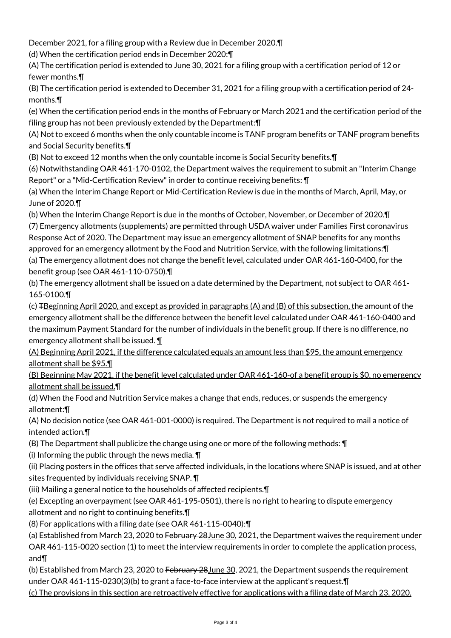December 2021, for a filing group with a Review due in December 2020.¶

(d) When the certification period ends in December 2020:¶

(A) The certification period is extended to June 30, 2021 for a filing group with a certification period of 12 or fewer months.¶

(B) The certification period is extended to December 31, 2021 for a filing group with a certification period of 24 months.¶

(e) When the certification period ends in the months of February or March 2021 and the certification period of the filing group has not been previously extended by the Department:¶

(A) Not to exceed 6 months when the only countable income is TANF program benefits or TANF program benefits and Social Security benefits.¶

(B) Not to exceed 12 months when the only countable income is Social Security benefits.¶

(6) Notwithstanding OAR 461-170-0102, the Department waives the requirement to submit an "Interim Change Report" or a "Mid-Certification Review" in order to continue receiving benefits: ¶

(a) When the Interim Change Report or Mid-Certification Review is due in the months of March, April, May, or June of 2020.¶

(b) When the Interim Change Report is due in the months of October, November, or December of 2020.¶

(7) Emergency allotments (supplements) are permitted through USDA waiver under Families First coronavirus Response Act of 2020. The Department may issue an emergency allotment of SNAP benefits for any months approved for an emergency allotment by the Food and Nutrition Service, with the following limitations:¶ (a) The emergency allotment does not change the benefit level, calculated under OAR 461-160-0400, for the benefit group (see OAR 461-110-0750).¶

(b) The emergency allotment shall be issued on a date determined by the Department, not subject to OAR 461- 165-0100.¶

(c)  $\pm$ Beginning April 2020, and except as provided in paragraphs (A) and (B) of this subsection, the amount of the emergency allotment shall be the difference between the benefit level calculated under OAR 461-160-0400 and the maximum Payment Standard for the number of individuals in the benefit group. If there is no difference, no emergency allotment shall be issued. ¶

(A) Beginning April 2021, if the difference calculated equals an amount less than \$95, the amount emergency allotment shall be \$95.¶

(B) Beginning May 2021, if the benefit level calculated under OAR 461-160-of a benefit group is \$0, no emergency allotment shall be issued.¶

(d) When the Food and Nutrition Service makes a change that ends, reduces, or suspends the emergency allotment:¶

(A) No decision notice (see OAR 461-001-0000) is required. The Department is not required to mail a notice of intended action.¶

(B) The Department shall publicize the change using one or more of the following methods: ¶

(i) Informing the public through the news media. ¶

(ii) Placing posters in the offices that serve affected individuals, in the locations where SNAP is issued, and at other sites frequented by individuals receiving SNAP. ¶

(iii) Mailing a general notice to the households of affected recipients.¶

(e) Excepting an overpayment (see OAR 461-195-0501), there is no right to hearing to dispute emergency allotment and no right to continuing benefits.¶

(8) For applications with a filing date (see OAR 461-115-0040):¶

(a) Established from March 23, 2020 to February 28 June 30, 2021, the Department waives the requirement under OAR 461-115-0020 section (1) to meet the interview requirements in order to complete the application process, and¶

(b) Established from March 23, 2020 to February 28 June 30, 2021, the Department suspends the requirement under OAR 461-115-0230(3)(b) to grant a face-to-face interview at the applicant's request.¶

(c) The provisions in this section are retroactively effective for applications with a filing date of March 23, 2020,